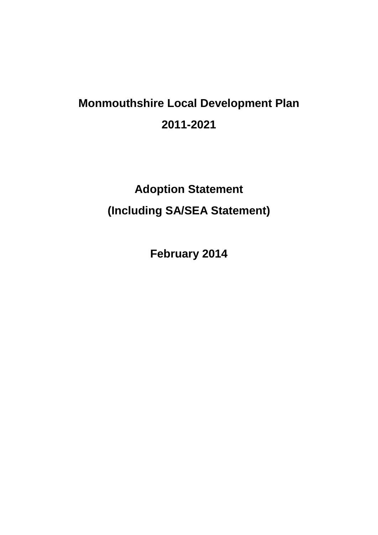# **Monmouthshire Local Development Plan 2011-2021**

# **Adoption Statement (Including SA/SEA Statement)**

**February 2014**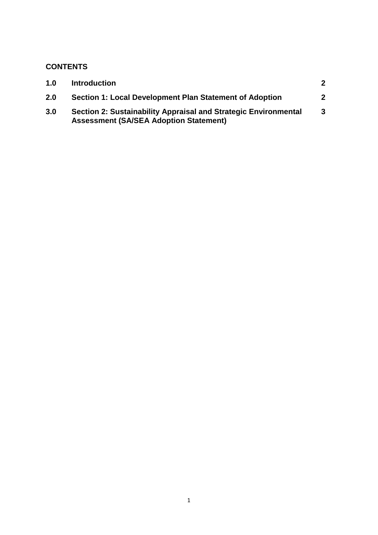# **CONTENTS**

| 1.0 | <b>Introduction</b>                                                                                              | $\mathbf 2$  |
|-----|------------------------------------------------------------------------------------------------------------------|--------------|
| 2.0 | Section 1: Local Development Plan Statement of Adoption                                                          | $\mathbf{2}$ |
| 3.0 | Section 2: Sustainability Appraisal and Strategic Environmental<br><b>Assessment (SA/SEA Adoption Statement)</b> | 3            |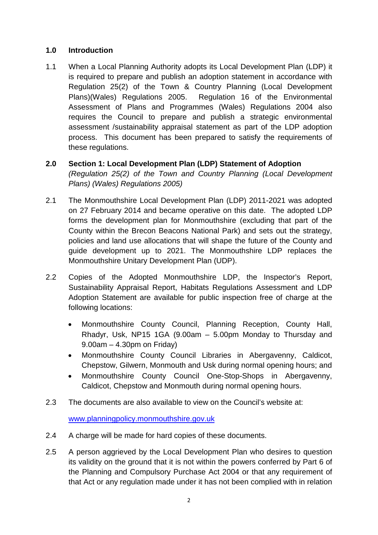# **1.0 Introduction**

1.1 When a Local Planning Authority adopts its Local Development Plan (LDP) it is required to prepare and publish an adoption statement in accordance with Regulation 25(2) of the Town & Country Planning (Local Development Plans)(Wales) Regulations 2005. Regulation 16 of the Environmental Assessment of Plans and Programmes (Wales) Regulations 2004 also requires the Council to prepare and publish a strategic environmental assessment /sustainability appraisal statement as part of the LDP adoption process. This document has been prepared to satisfy the requirements of these regulations.

# **2.0 Section 1: Local Development Plan (LDP) Statement of Adoption**

*(Regulation 25(2) of the Town and Country Planning (Local Development Plans) (Wales) Regulations 2005)*

- 2.1 The Monmouthshire Local Development Plan (LDP) 2011-2021 was adopted on 27 February 2014 and became operative on this date. The adopted LDP forms the development plan for Monmouthshire (excluding that part of the County within the Brecon Beacons National Park) and sets out the strategy, policies and land use allocations that will shape the future of the County and guide development up to 2021. The Monmouthshire LDP replaces the Monmouthshire Unitary Development Plan (UDP).
- 2.2 Copies of the Adopted Monmouthshire LDP, the Inspector's Report, Sustainability Appraisal Report, Habitats Regulations Assessment and LDP Adoption Statement are available for public inspection free of charge at the following locations:
	- Monmouthshire County Council, Planning Reception, County Hall, Rhadyr, Usk, NP15 1GA (9.00am – 5.00pm Monday to Thursday and 9.00am – 4.30pm on Friday)
	- Monmouthshire County Council Libraries in Abergavenny, Caldicot, Chepstow, Gilwern, Monmouth and Usk during normal opening hours; and
	- Monmouthshire County Council One-Stop-Shops in Abergavenny, Caldicot, Chepstow and Monmouth during normal opening hours.
- 2.3 The documents are also available to view on the Council's website at:

[www.planningpolicy.monmouthshire.gov.uk](http://www.planningpolicy.monmouthshire.gov.uk/)

- 2.4 A charge will be made for hard copies of these documents.
- 2.5 A person aggrieved by the Local Development Plan who desires to question its validity on the ground that it is not within the powers conferred by Part 6 of the Planning and Compulsory Purchase Act 2004 or that any requirement of that Act or any regulation made under it has not been complied with in relation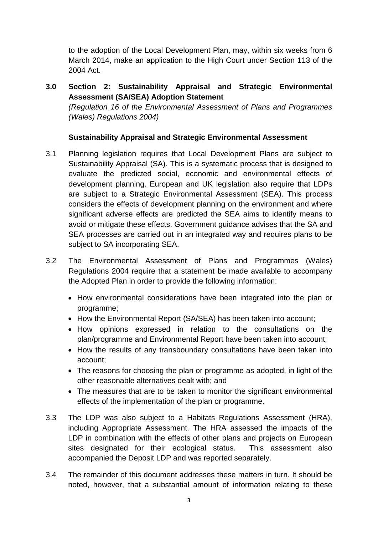to the adoption of the Local Development Plan, may, within six weeks from 6 March 2014, make an application to the High Court under Section 113 of the 2004 Act.

**3.0 Section 2: Sustainability Appraisal and Strategic Environmental Assessment (SA/SEA) Adoption Statement** *(Regulation 16 of the Environmental Assessment of Plans and Programmes (Wales) Regulations 2004)* 

## **Sustainability Appraisal and Strategic Environmental Assessment**

- 3.1 Planning legislation requires that Local Development Plans are subject to Sustainability Appraisal (SA). This is a systematic process that is designed to evaluate the predicted social, economic and environmental effects of development planning. European and UK legislation also require that LDPs are subject to a Strategic Environmental Assessment (SEA). This process considers the effects of development planning on the environment and where significant adverse effects are predicted the SEA aims to identify means to avoid or mitigate these effects. Government guidance advises that the SA and SEA processes are carried out in an integrated way and requires plans to be subject to SA incorporating SEA.
- 3.2 The Environmental Assessment of Plans and Programmes (Wales) Regulations 2004 require that a statement be made available to accompany the Adopted Plan in order to provide the following information:
	- How environmental considerations have been integrated into the plan or programme;
	- How the Environmental Report (SA/SEA) has been taken into account:
	- How opinions expressed in relation to the consultations on the plan/programme and Environmental Report have been taken into account;
	- How the results of any transboundary consultations have been taken into account;
	- The reasons for choosing the plan or programme as adopted, in light of the other reasonable alternatives dealt with; and
	- The measures that are to be taken to monitor the significant environmental effects of the implementation of the plan or programme.
- 3.3 The LDP was also subject to a Habitats Regulations Assessment (HRA), including Appropriate Assessment. The HRA assessed the impacts of the LDP in combination with the effects of other plans and projects on European sites designated for their ecological status. This assessment also accompanied the Deposit LDP and was reported separately.
- 3.4 The remainder of this document addresses these matters in turn. It should be noted, however, that a substantial amount of information relating to these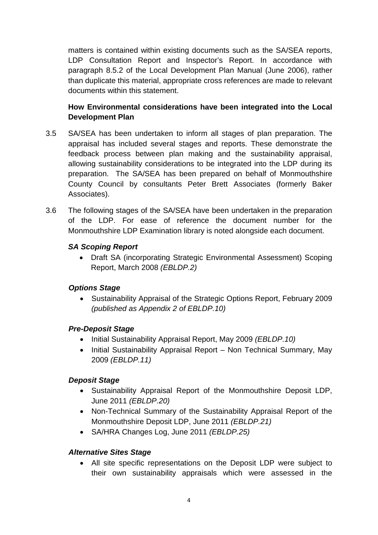matters is contained within existing documents such as the SA/SEA reports, LDP Consultation Report and Inspector's Report. In accordance with paragraph 8.5.2 of the Local Development Plan Manual (June 2006), rather than duplicate this material, appropriate cross references are made to relevant documents within this statement.

# **How Environmental considerations have been integrated into the Local Development Plan**

- 3.5 SA/SEA has been undertaken to inform all stages of plan preparation. The appraisal has included several stages and reports. These demonstrate the feedback process between plan making and the sustainability appraisal, allowing sustainability considerations to be integrated into the LDP during its preparation. The SA/SEA has been prepared on behalf of Monmouthshire County Council by consultants Peter Brett Associates (formerly Baker Associates).
- 3.6 The following stages of the SA/SEA have been undertaken in the preparation of the LDP. For ease of reference the document number for the Monmouthshire LDP Examination library is noted alongside each document.

# *SA Scoping Report*

• Draft SA (incorporating Strategic Environmental Assessment) Scoping Report, March 2008 *(EBLDP.2)* 

## *Options Stage*

• Sustainability Appraisal of the Strategic Options Report, February 2009 *(published as Appendix 2 of EBLDP.10)* 

## *Pre-Deposit Stage*

- Initial Sustainability Appraisal Report, May 2009 *(EBLDP.10)*
- Initial Sustainability Appraisal Report Non Technical Summary, May 2009 *(EBLDP.11)*

## *Deposit Stage*

- Sustainability Appraisal Report of the Monmouthshire Deposit LDP, June 2011 *(EBLDP.20)*
- Non-Technical Summary of the Sustainability Appraisal Report of the Monmouthshire Deposit LDP, June 2011 *(EBLDP.21)*
- SA/HRA Changes Log, June 2011 *(EBLDP.25)*

## *Alternative Sites Stage*

• All site specific representations on the Deposit LDP were subject to their own sustainability appraisals which were assessed in the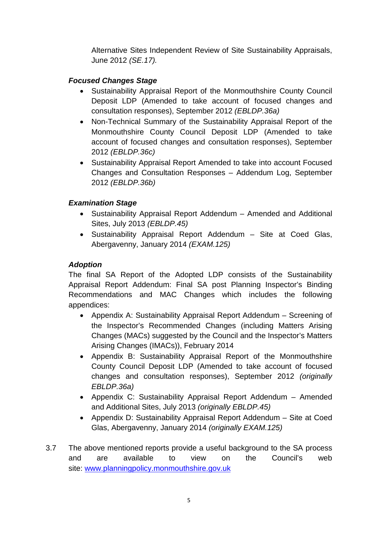Alternative Sites Independent Review of Site Sustainability Appraisals, June 2012 *(SE.17).* 

## *Focused Changes Stage*

- Sustainability Appraisal Report of the Monmouthshire County Council Deposit LDP (Amended to take account of focused changes and consultation responses), September 2012 *(EBLDP.36a)*
- Non-Technical Summary of the Sustainability Appraisal Report of the Monmouthshire County Council Deposit LDP (Amended to take account of focused changes and consultation responses), September 2012 *(EBLDP.36c)*
- Sustainability Appraisal Report Amended to take into account Focused Changes and Consultation Responses – Addendum Log, September 2012 *(EBLDP.36b)*

# *Examination Stage*

- Sustainability Appraisal Report Addendum Amended and Additional Sites, July 2013 *(EBLDP.45)*
- Sustainability Appraisal Report Addendum Site at Coed Glas, Abergavenny, January 2014 *(EXAM.125)*

# *Adoption*

The final SA Report of the Adopted LDP consists of the Sustainability Appraisal Report Addendum: Final SA post Planning Inspector's Binding Recommendations and MAC Changes which includes the following appendices:

- Appendix A: Sustainability Appraisal Report Addendum Screening of the Inspector's Recommended Changes (including Matters Arising Changes (MACs) suggested by the Council and the Inspector's Matters Arising Changes (IMACs)), February 2014
- Appendix B: Sustainability Appraisal Report of the Monmouthshire County Council Deposit LDP (Amended to take account of focused changes and consultation responses), September 2012 *(originally EBLDP.36a)*
- Appendix C: Sustainability Appraisal Report Addendum Amended and Additional Sites, July 2013 *(originally EBLDP.45)*
- Appendix D: Sustainability Appraisal Report Addendum Site at Coed Glas, Abergavenny, January 2014 *(originally EXAM.125)*
- 3.7 The above mentioned reports provide a useful background to the SA process and are available to view on the Council's web site: [www.planningpolicy.monmouthshire.gov.uk](http://www.planningpolicy.monmouthshire.gov.uk/)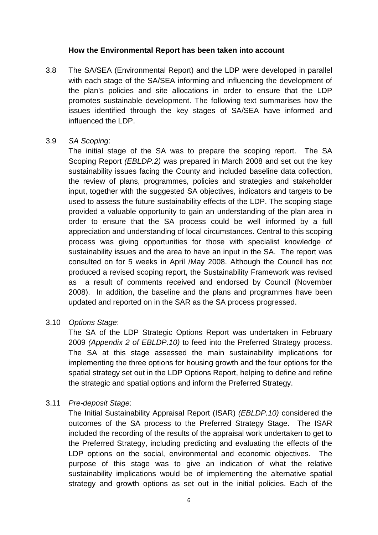#### **How the Environmental Report has been taken into account**

3.8 The SA/SEA (Environmental Report) and the LDP were developed in parallel with each stage of the SA/SEA informing and influencing the development of the plan's policies and site allocations in order to ensure that the LDP promotes sustainable development. The following text summarises how the issues identified through the key stages of SA/SEA have informed and influenced the LDP.

#### 3.9 *SA Scoping*:

The initial stage of the SA was to prepare the scoping report. The SA Scoping Report *(EBLDP.2)* was prepared in March 2008 and set out the key sustainability issues facing the County and included baseline data collection, the review of plans, programmes, policies and strategies and stakeholder input, together with the suggested SA objectives, indicators and targets to be used to assess the future sustainability effects of the LDP. The scoping stage provided a valuable opportunity to gain an understanding of the plan area in order to ensure that the SA process could be well informed by a full appreciation and understanding of local circumstances. Central to this scoping process was giving opportunities for those with specialist knowledge of sustainability issues and the area to have an input in the SA. The report was consulted on for 5 weeks in April /May 2008. Although the Council has not produced a revised scoping report, the Sustainability Framework was revised as a result of comments received and endorsed by Council (November 2008). In addition, the baseline and the plans and programmes have been updated and reported on in the SAR as the SA process progressed.

## 3.10 *Options Stage*:

The SA of the LDP Strategic Options Report was undertaken in February 2009 *(Appendix 2 of EBLDP.10)* to feed into the Preferred Strategy process. The SA at this stage assessed the main sustainability implications for implementing the three options for housing growth and the four options for the spatial strategy set out in the LDP Options Report, helping to define and refine the strategic and spatial options and inform the Preferred Strategy.

## 3.11 *Pre-deposit Stage*:

The Initial Sustainability Appraisal Report (ISAR) *(EBLDP.10)* considered the outcomes of the SA process to the Preferred Strategy Stage. The ISAR included the recording of the results of the appraisal work undertaken to get to the Preferred Strategy, including predicting and evaluating the effects of the LDP options on the social, environmental and economic objectives. The purpose of this stage was to give an indication of what the relative sustainability implications would be of implementing the alternative spatial strategy and growth options as set out in the initial policies. Each of the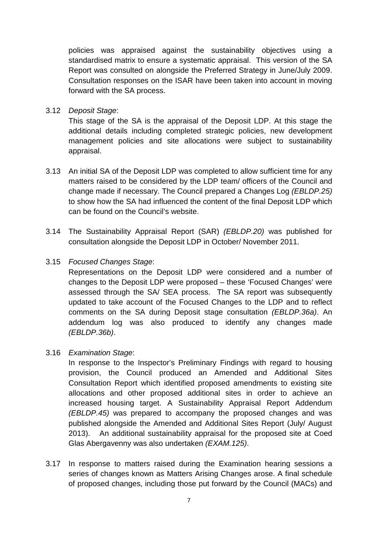policies was appraised against the sustainability objectives using a standardised matrix to ensure a systematic appraisal. This version of the SA Report was consulted on alongside the Preferred Strategy in June/July 2009. Consultation responses on the ISAR have been taken into account in moving forward with the SA process.

3.12 *Deposit Stage*:

This stage of the SA is the appraisal of the Deposit LDP. At this stage the additional details including completed strategic policies, new development management policies and site allocations were subject to sustainability appraisal.

- 3.13 An initial SA of the Deposit LDP was completed to allow sufficient time for any matters raised to be considered by the LDP team/ officers of the Council and change made if necessary. The Council prepared a Changes Log *(EBLDP.25)* to show how the SA had influenced the content of the final Deposit LDP which can be found on the Council's website.
- 3.14 The Sustainability Appraisal Report (SAR) *(EBLDP.20)* was published for consultation alongside the Deposit LDP in October/ November 2011.
- 3.15 *Focused Changes Stage*:

Representations on the Deposit LDP were considered and a number of changes to the Deposit LDP were proposed – these 'Focused Changes' were assessed through the SA/ SEA process. The SA report was subsequently updated to take account of the Focused Changes to the LDP and to reflect comments on the SA during Deposit stage consultation *(EBLDP.36a)*. An addendum log was also produced to identify any changes made *(EBLDP.36b)*.

3.16 *Examination Stage*:

In response to the Inspector's Preliminary Findings with regard to housing provision, the Council produced an Amended and Additional Sites Consultation Report which identified proposed amendments to existing site allocations and other proposed additional sites in order to achieve an increased housing target. A Sustainability Appraisal Report Addendum *(EBLDP.45)* was prepared to accompany the proposed changes and was published alongside the Amended and Additional Sites Report (July/ August 2013). An additional sustainability appraisal for the proposed site at Coed Glas Abergavenny was also undertaken *(EXAM.125)*.

3.17 In response to matters raised during the Examination hearing sessions a series of changes known as Matters Arising Changes arose. A final schedule of proposed changes, including those put forward by the Council (MACs) and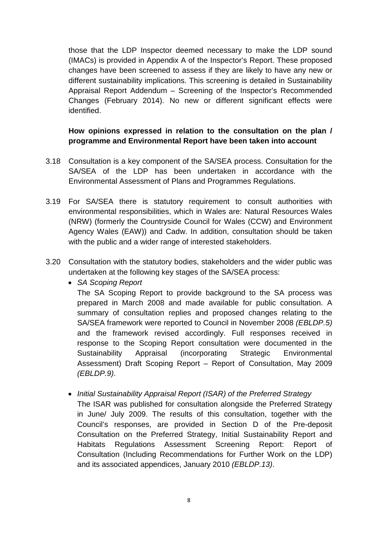those that the LDP Inspector deemed necessary to make the LDP sound (IMACs) is provided in Appendix A of the Inspector's Report. These proposed changes have been screened to assess if they are likely to have any new or different sustainability implications. This screening is detailed in Sustainability Appraisal Report Addendum – Screening of the Inspector's Recommended Changes (February 2014). No new or different significant effects were identified.

# **How opinions expressed in relation to the consultation on the plan / programme and Environmental Report have been taken into account**

- 3.18 Consultation is a key component of the SA/SEA process. Consultation for the SA/SEA of the LDP has been undertaken in accordance with the Environmental Assessment of Plans and Programmes Regulations.
- 3.19 For SA/SEA there is statutory requirement to consult authorities with environmental responsibilities, which in Wales are: Natural Resources Wales (NRW) (formerly the Countryside Council for Wales (CCW) and Environment Agency Wales (EAW)) and Cadw. In addition, consultation should be taken with the public and a wider range of interested stakeholders.
- 3.20 Consultation with the statutory bodies, stakeholders and the wider public was undertaken at the following key stages of the SA/SEA process:
	- *SA Scoping Report*

The SA Scoping Report to provide background to the SA process was prepared in March 2008 and made available for public consultation. A summary of consultation replies and proposed changes relating to the SA/SEA framework were reported to Council in November 2008 *(EBLDP.5)* and the framework revised accordingly. Full responses received in response to the Scoping Report consultation were documented in the Sustainability Appraisal (incorporating Strategic Environmental Assessment) Draft Scoping Report – Report of Consultation, May 2009 *(EBLDP.9)*.

• *Initial Sustainability Appraisal Report (ISAR) of the Preferred Strategy* The ISAR was published for consultation alongside the Preferred Strategy in June/ July 2009. The results of this consultation, together with the Council's responses, are provided in Section D of the Pre-deposit Consultation on the Preferred Strategy, Initial Sustainability Report and Habitats Regulations Assessment Screening Report: Report of Consultation (Including Recommendations for Further Work on the LDP) and its associated appendices, January 2010 *(EBLDP.13)*.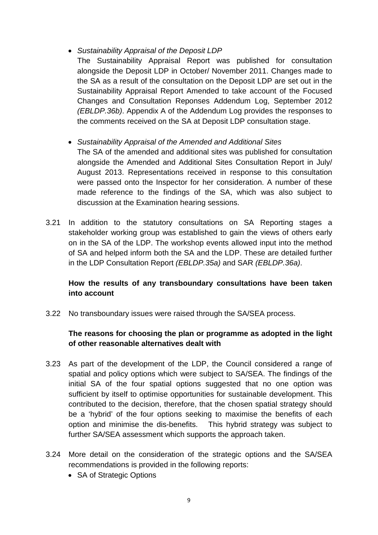## • *Sustainability Appraisal of the Deposit LDP*

The Sustainability Appraisal Report was published for consultation alongside the Deposit LDP in October/ November 2011. Changes made to the SA as a result of the consultation on the Deposit LDP are set out in the Sustainability Appraisal Report Amended to take account of the Focused Changes and Consultation Reponses Addendum Log, September 2012 *(EBLDP.36b)*. Appendix A of the Addendum Log provides the responses to the comments received on the SA at Deposit LDP consultation stage.

## • *Sustainability Appraisal of the Amended and Additional Sites*

The SA of the amended and additional sites was published for consultation alongside the Amended and Additional Sites Consultation Report in July/ August 2013. Representations received in response to this consultation were passed onto the Inspector for her consideration. A number of these made reference to the findings of the SA, which was also subject to discussion at the Examination hearing sessions.

3.21 In addition to the statutory consultations on SA Reporting stages a stakeholder working group was established to gain the views of others early on in the SA of the LDP. The workshop events allowed input into the method of SA and helped inform both the SA and the LDP. These are detailed further in the LDP Consultation Report *(EBLDP.35a)* and SAR *(EBLDP.36a)*.

# **How the results of any transboundary consultations have been taken into account**

3.22 No transboundary issues were raised through the SA/SEA process.

## **The reasons for choosing the plan or programme as adopted in the light of other reasonable alternatives dealt with**

- 3.23 As part of the development of the LDP, the Council considered a range of spatial and policy options which were subject to SA/SEA. The findings of the initial SA of the four spatial options suggested that no one option was sufficient by itself to optimise opportunities for sustainable development. This contributed to the decision, therefore, that the chosen spatial strategy should be a 'hybrid' of the four options seeking to maximise the benefits of each option and minimise the dis-benefits. This hybrid strategy was subject to further SA/SEA assessment which supports the approach taken.
- 3.24 More detail on the consideration of the strategic options and the SA/SEA recommendations is provided in the following reports:
	- SA of Strategic Options